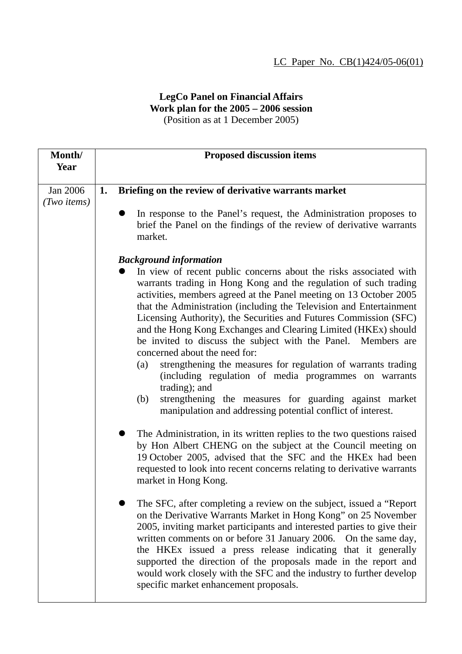## **LegCo Panel on Financial Affairs Work plan for the 2005 – 2006 session**  (Position as at 1 December 2005)

| Month/<br>Year        | <b>Proposed discussion items</b>                                                                                                                                                                                                                                                                                                                                                                                                                                                                                                                                                                                                                                                                                                                                                                                                               |
|-----------------------|------------------------------------------------------------------------------------------------------------------------------------------------------------------------------------------------------------------------------------------------------------------------------------------------------------------------------------------------------------------------------------------------------------------------------------------------------------------------------------------------------------------------------------------------------------------------------------------------------------------------------------------------------------------------------------------------------------------------------------------------------------------------------------------------------------------------------------------------|
| Jan 2006              | Briefing on the review of derivative warrants market<br>1.                                                                                                                                                                                                                                                                                                                                                                                                                                                                                                                                                                                                                                                                                                                                                                                     |
| $(Two \text{ items})$ |                                                                                                                                                                                                                                                                                                                                                                                                                                                                                                                                                                                                                                                                                                                                                                                                                                                |
|                       | In response to the Panel's request, the Administration proposes to<br>$\bullet$<br>brief the Panel on the findings of the review of derivative warrants<br>market.                                                                                                                                                                                                                                                                                                                                                                                                                                                                                                                                                                                                                                                                             |
|                       |                                                                                                                                                                                                                                                                                                                                                                                                                                                                                                                                                                                                                                                                                                                                                                                                                                                |
|                       | <b>Background information</b><br>In view of recent public concerns about the risks associated with<br>warrants trading in Hong Kong and the regulation of such trading<br>activities, members agreed at the Panel meeting on 13 October 2005<br>that the Administration (including the Television and Entertainment<br>Licensing Authority), the Securities and Futures Commission (SFC)<br>and the Hong Kong Exchanges and Clearing Limited (HKEx) should<br>be invited to discuss the subject with the Panel. Members are<br>concerned about the need for:<br>strengthening the measures for regulation of warrants trading<br>(a)<br>(including regulation of media programmes on warrants<br>trading); and<br>strengthening the measures for guarding against market<br>(b)<br>manipulation and addressing potential conflict of interest. |
|                       | The Administration, in its written replies to the two questions raised<br>by Hon Albert CHENG on the subject at the Council meeting on<br>19 October 2005, advised that the SFC and the HKEx had been<br>requested to look into recent concerns relating to derivative warrants<br>market in Hong Kong.                                                                                                                                                                                                                                                                                                                                                                                                                                                                                                                                        |
|                       | The SFC, after completing a review on the subject, issued a "Report"<br>on the Derivative Warrants Market in Hong Kong" on 25 November<br>2005, inviting market participants and interested parties to give their<br>written comments on or before 31 January 2006. On the same day,<br>the HKEx issued a press release indicating that it generally<br>supported the direction of the proposals made in the report and<br>would work closely with the SFC and the industry to further develop<br>specific market enhancement proposals.                                                                                                                                                                                                                                                                                                       |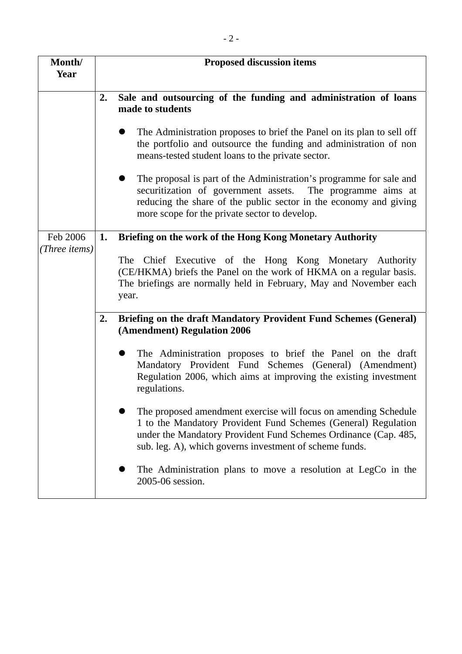| Month/<br>Year |    | <b>Proposed discussion items</b>                                                                                                                                                                                                                                |
|----------------|----|-----------------------------------------------------------------------------------------------------------------------------------------------------------------------------------------------------------------------------------------------------------------|
|                | 2. | Sale and outsourcing of the funding and administration of loans<br>made to students                                                                                                                                                                             |
|                |    | The Administration proposes to brief the Panel on its plan to sell off<br>D<br>the portfolio and outsource the funding and administration of non<br>means-tested student loans to the private sector.                                                           |
|                |    | The proposal is part of the Administration's programme for sale and<br>securitization of government assets. The programme aims at<br>reducing the share of the public sector in the economy and giving<br>more scope for the private sector to develop.         |
| Feb 2006       | 1. | Briefing on the work of the Hong Kong Monetary Authority                                                                                                                                                                                                        |
| (Three items)  |    | The Chief Executive of the Hong Kong Monetary Authority<br>(CE/HKMA) briefs the Panel on the work of HKMA on a regular basis.<br>The briefings are normally held in February, May and November each<br>year.                                                    |
|                | 2. | Briefing on the draft Mandatory Provident Fund Schemes (General)<br>(Amendment) Regulation 2006                                                                                                                                                                 |
|                |    | The Administration proposes to brief the Panel on the draft<br>Mandatory Provident Fund Schemes (General) (Amendment)<br>Regulation 2006, which aims at improving the existing investment<br>regulations.                                                       |
|                |    | The proposed amendment exercise will focus on amending Schedule<br>1 to the Mandatory Provident Fund Schemes (General) Regulation<br>under the Mandatory Provident Fund Schemes Ordinance (Cap. 485,<br>sub. leg. A), which governs investment of scheme funds. |
|                |    | The Administration plans to move a resolution at LegCo in the<br>2005-06 session.                                                                                                                                                                               |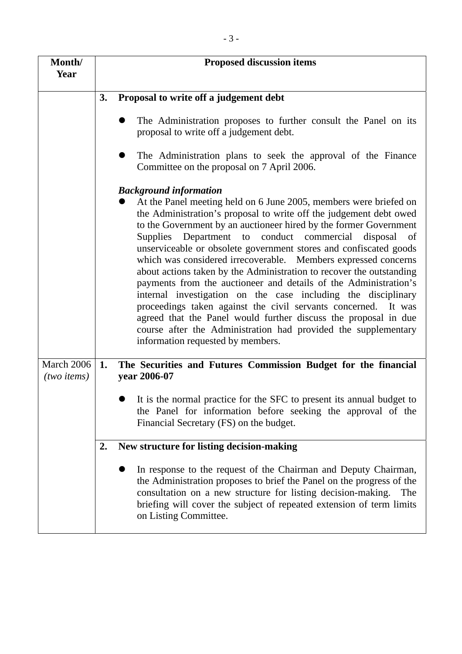| Month/<br>Year                             |    | <b>Proposed discussion items</b>                                                                                                                                                                                                                                                                                                                                                                                                                                                                                                                                                                                                                                                                                                                                                                                                                                            |
|--------------------------------------------|----|-----------------------------------------------------------------------------------------------------------------------------------------------------------------------------------------------------------------------------------------------------------------------------------------------------------------------------------------------------------------------------------------------------------------------------------------------------------------------------------------------------------------------------------------------------------------------------------------------------------------------------------------------------------------------------------------------------------------------------------------------------------------------------------------------------------------------------------------------------------------------------|
|                                            | 3. | Proposal to write off a judgement debt                                                                                                                                                                                                                                                                                                                                                                                                                                                                                                                                                                                                                                                                                                                                                                                                                                      |
|                                            |    | The Administration proposes to further consult the Panel on its<br>proposal to write off a judgement debt.                                                                                                                                                                                                                                                                                                                                                                                                                                                                                                                                                                                                                                                                                                                                                                  |
|                                            |    | The Administration plans to seek the approval of the Finance<br>Committee on the proposal on 7 April 2006.                                                                                                                                                                                                                                                                                                                                                                                                                                                                                                                                                                                                                                                                                                                                                                  |
|                                            |    | <b>Background information</b>                                                                                                                                                                                                                                                                                                                                                                                                                                                                                                                                                                                                                                                                                                                                                                                                                                               |
|                                            |    | At the Panel meeting held on 6 June 2005, members were briefed on<br>the Administration's proposal to write off the judgement debt owed<br>to the Government by an auctioneer hired by the former Government<br>Supplies Department to conduct commercial<br>disposal<br>of<br>unserviceable or obsolete government stores and confiscated goods<br>which was considered irrecoverable. Members expressed concerns<br>about actions taken by the Administration to recover the outstanding<br>payments from the auctioneer and details of the Administration's<br>internal investigation on the case including the disciplinary<br>proceedings taken against the civil servants concerned. It was<br>agreed that the Panel would further discuss the proposal in due<br>course after the Administration had provided the supplementary<br>information requested by members. |
| <b>March 2006</b><br>$(two \text{ items})$ | 1. | The Securities and Futures Commission Budget for the financial<br>year 2006-07                                                                                                                                                                                                                                                                                                                                                                                                                                                                                                                                                                                                                                                                                                                                                                                              |
|                                            |    | It is the normal practice for the SFC to present its annual budget to<br>the Panel for information before seeking the approval of the<br>Financial Secretary (FS) on the budget.                                                                                                                                                                                                                                                                                                                                                                                                                                                                                                                                                                                                                                                                                            |
|                                            | 2. | New structure for listing decision-making                                                                                                                                                                                                                                                                                                                                                                                                                                                                                                                                                                                                                                                                                                                                                                                                                                   |
|                                            |    | In response to the request of the Chairman and Deputy Chairman,<br>the Administration proposes to brief the Panel on the progress of the<br>consultation on a new structure for listing decision-making.<br>The<br>briefing will cover the subject of repeated extension of term limits<br>on Listing Committee.                                                                                                                                                                                                                                                                                                                                                                                                                                                                                                                                                            |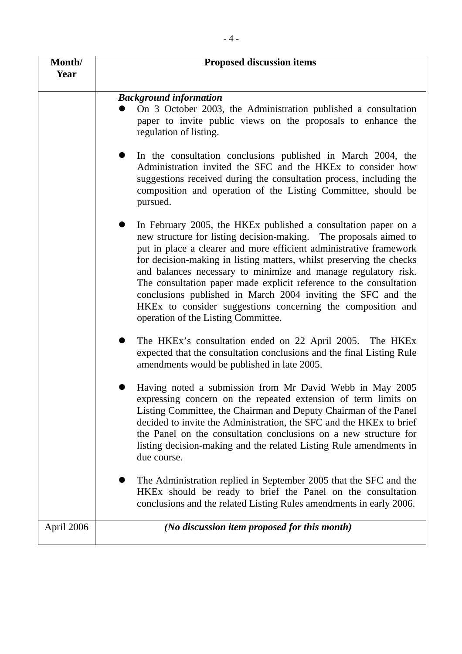| Month/<br>Year | <b>Proposed discussion items</b>                                                                                                                                                                                                                                                                                                                                                                                                                                                                                                                                                                |
|----------------|-------------------------------------------------------------------------------------------------------------------------------------------------------------------------------------------------------------------------------------------------------------------------------------------------------------------------------------------------------------------------------------------------------------------------------------------------------------------------------------------------------------------------------------------------------------------------------------------------|
|                |                                                                                                                                                                                                                                                                                                                                                                                                                                                                                                                                                                                                 |
|                | <b>Background information</b><br>On 3 October 2003, the Administration published a consultation<br>paper to invite public views on the proposals to enhance the<br>regulation of listing.                                                                                                                                                                                                                                                                                                                                                                                                       |
|                | In the consultation conclusions published in March 2004, the<br>Administration invited the SFC and the HKEx to consider how<br>suggestions received during the consultation process, including the<br>composition and operation of the Listing Committee, should be<br>pursued.                                                                                                                                                                                                                                                                                                                 |
|                | In February 2005, the HKEx published a consultation paper on a<br>new structure for listing decision-making. The proposals aimed to<br>put in place a clearer and more efficient administrative framework<br>for decision-making in listing matters, whilst preserving the checks<br>and balances necessary to minimize and manage regulatory risk.<br>The consultation paper made explicit reference to the consultation<br>conclusions published in March 2004 inviting the SFC and the<br>HKEx to consider suggestions concerning the composition and<br>operation of the Listing Committee. |
|                | The HKEx's consultation ended on 22 April 2005. The HKEx<br>expected that the consultation conclusions and the final Listing Rule<br>amendments would be published in late 2005.                                                                                                                                                                                                                                                                                                                                                                                                                |
|                | Having noted a submission from Mr David Webb in May 2005<br>expressing concern on the repeated extension of term limits on<br>Listing Committee, the Chairman and Deputy Chairman of the Panel<br>decided to invite the Administration, the SFC and the HKE <sub>x</sub> to brief<br>the Panel on the consultation conclusions on a new structure for<br>listing decision-making and the related Listing Rule amendments in<br>due course.                                                                                                                                                      |
|                | The Administration replied in September 2005 that the SFC and the<br>HKEx should be ready to brief the Panel on the consultation<br>conclusions and the related Listing Rules amendments in early 2006.                                                                                                                                                                                                                                                                                                                                                                                         |
| April 2006     | (No discussion item proposed for this month)                                                                                                                                                                                                                                                                                                                                                                                                                                                                                                                                                    |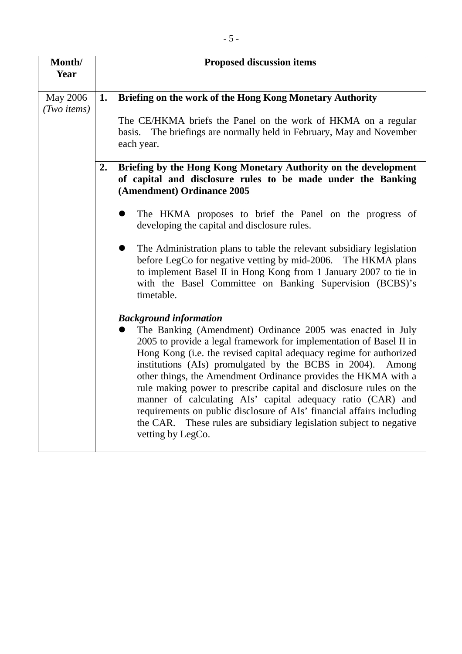| Month/<br>Year                           | <b>Proposed discussion items</b>                                                                                                                                                                                                                                                                                                                                                                                                                                                                                                                                                                                                                                                      |
|------------------------------------------|---------------------------------------------------------------------------------------------------------------------------------------------------------------------------------------------------------------------------------------------------------------------------------------------------------------------------------------------------------------------------------------------------------------------------------------------------------------------------------------------------------------------------------------------------------------------------------------------------------------------------------------------------------------------------------------|
| <b>May 2006</b><br>$(Two \text{ items})$ | Briefing on the work of the Hong Kong Monetary Authority<br>1.<br>The CE/HKMA briefs the Panel on the work of HKMA on a regular<br>basis. The briefings are normally held in February, May and November                                                                                                                                                                                                                                                                                                                                                                                                                                                                               |
|                                          | each year.<br>Briefing by the Hong Kong Monetary Authority on the development<br>2.<br>of capital and disclosure rules to be made under the Banking                                                                                                                                                                                                                                                                                                                                                                                                                                                                                                                                   |
|                                          | (Amendment) Ordinance 2005<br>The HKMA proposes to brief the Panel on the progress of<br>developing the capital and disclosure rules.                                                                                                                                                                                                                                                                                                                                                                                                                                                                                                                                                 |
|                                          | The Administration plans to table the relevant subsidiary legislation<br>before LegCo for negative vetting by mid-2006. The HKMA plans<br>to implement Basel II in Hong Kong from 1 January 2007 to tie in<br>with the Basel Committee on Banking Supervision (BCBS)'s<br>timetable.                                                                                                                                                                                                                                                                                                                                                                                                  |
|                                          | <b>Background information</b><br>The Banking (Amendment) Ordinance 2005 was enacted in July<br>2005 to provide a legal framework for implementation of Basel II in<br>Hong Kong (i.e. the revised capital adequacy regime for authorized<br>institutions (AIs) promulgated by the BCBS in 2004).<br>Among<br>other things, the Amendment Ordinance provides the HKMA with a<br>rule making power to prescribe capital and disclosure rules on the<br>manner of calculating AIs' capital adequacy ratio (CAR) and<br>requirements on public disclosure of AIs' financial affairs including<br>the CAR. These rules are subsidiary legislation subject to negative<br>vetting by LegCo. |